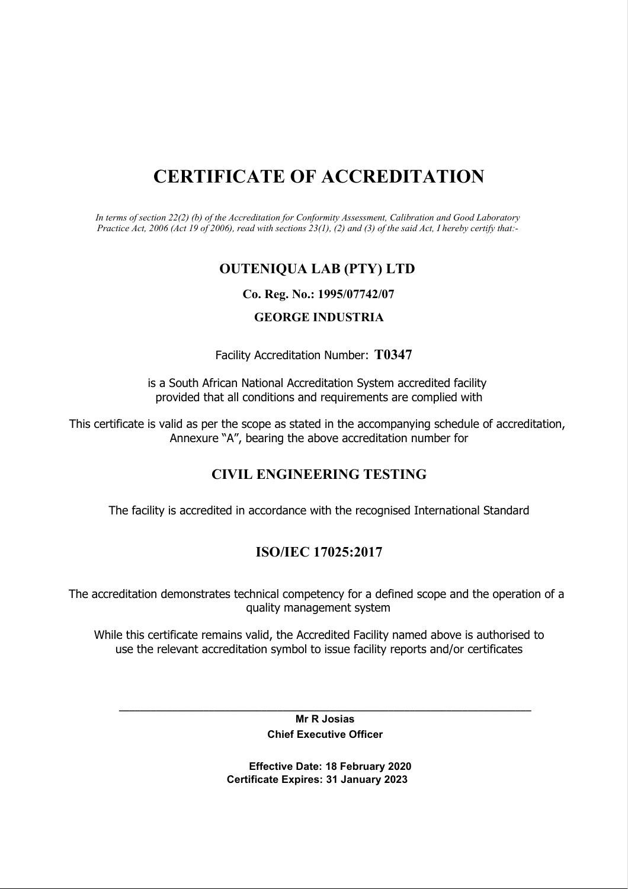# CERTIFICATE OF ACCREDITATION

In terms of section 22(2) (b) of the Accreditation for Conformity Assessment, Calibration and Good Laboratory Practice Act, 2006 (Act 19 of 2006), read with sections 23(1), (2) and (3) of the said Act, I hereby certify that:-

## OUTENIQUA LAB (PTY) LTD

### Co. Reg. No.: 1995/07742/07

### GEORGE INDUSTRIA

### Facility Accreditation Number: T0347

is a South African National Accreditation System accredited facility provided that all conditions and requirements are complied with

This certificate is valid as per the scope as stated in the accompanying schedule of accreditation, Annexure "A", bearing the above accreditation number for

## CIVIL ENGINEERING TESTING

The facility is accredited in accordance with the recognised International Standard

## ISO/IEC 17025:2017

The accreditation demonstrates technical competency for a defined scope and the operation of a quality management system

While this certificate remains valid, the Accredited Facility named above is authorised to use the relevant accreditation symbol to issue facility reports and/or certificates

\_\_\_\_\_\_\_\_\_\_\_\_\_\_\_\_\_\_\_\_\_\_\_\_\_\_\_\_\_\_\_\_\_\_\_\_\_\_\_\_\_\_\_\_\_\_\_\_\_\_\_\_\_\_\_\_\_\_\_\_\_\_\_\_\_\_\_\_\_\_\_\_\_\_\_\_\_\_ Mr R Josias Chief Executive Officer

> Effective Date: 18 February 2020 Certificate Expires: 31 January 2023